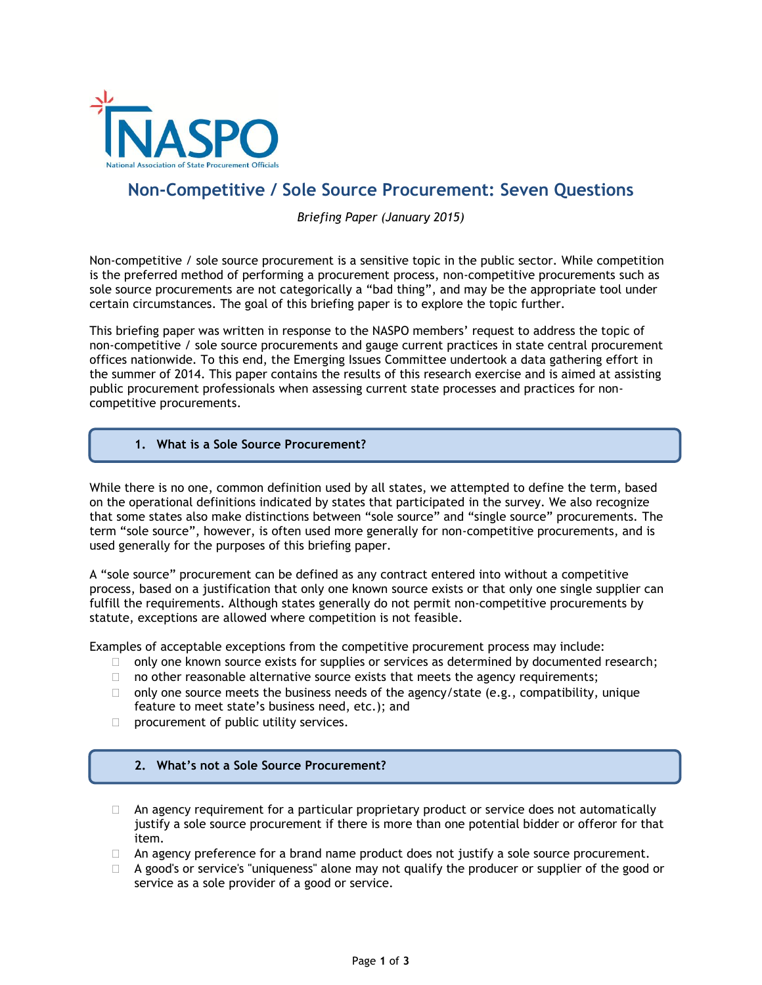

ŕ

# **Non-Competitive / Sole Source Procurement: Seven Questions**

*Briefing Paper (January 2015)*

Non-competitive / sole source procurement is a sensitive topic in the public sector. While competition is the preferred method of performing a procurement process, non-competitive procurements such as sole source procurements are not categorically a "bad thing", and may be the appropriate tool under certain circumstances. The goal of this briefing paper is to explore the topic further.

This briefing paper was written in response to the NASPO members' request to address the topic of non-competitive / sole source procurements and gauge current practices in state central procurement offices nationwide. To this end, the Emerging Issues Committee undertook a data gathering effort in the summer of 2014. This paper contains the results of this research exercise and is aimed at assisting public procurement professionals when assessing current state processes and practices for noncompetitive procurements.

**1. What is a Sole Source Procurement?**

While there is no one, common definition used by all states, we attempted to define the term, based on the operational definitions indicated by states that participated in the survey. We also recognize that some states also make distinctions between "sole source" and "single source" procurements. The term "sole source", however, is often used more generally for non-competitive procurements, and is used generally for the purposes of this briefing paper.

A "sole source" procurement can be defined as any contract entered into without a competitive process, based on a justification that only one known source exists or that only one single supplier can fulfill the requirements. Although states generally do not permit non-competitive procurements by statute, exceptions are allowed where competition is not feasible.

Examples of acceptable exceptions from the competitive procurement process may include:

- $\Box$  only one known source exists for supplies or services as determined by documented research;
- $\Box$  no other reasonable alternative source exists that meets the agency requirements;
- $\Box$  only one source meets the business needs of the agency/state (e.g., compatibility, unique feature to meet state's business need, etc.); and
- $\Box$  procurement of public utility services.

#### **2. What's not a Sole Source Procurement?**

- $\Box$  An agency requirement for a particular proprietary product or service does not automatically justify a sole source procurement if there is more than one potential bidder or offeror for that item.
- □ An agency preference for a brand name product does not justify a sole source procurement.
- □ A good's or service's "uniqueness" alone may not qualify the producer or supplier of the good or service as a sole provider of a good or service.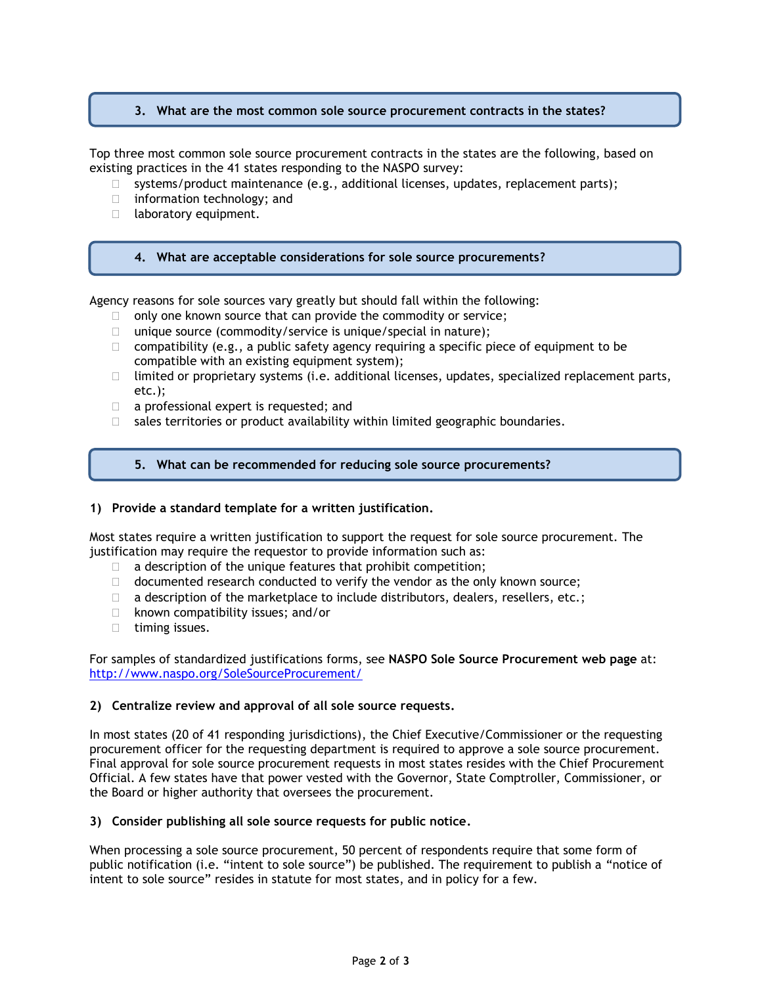## **3. What are the most common sole source procurement contracts in the states?**

Top three most common sole source procurement contracts in the states are the following, based on existing practices in the 41 states responding to the NASPO survey:

- $\Box$  systems/product maintenance (e.g., additional licenses, updates, replacement parts);
- $\Box$  information technology; and
- delaboratory equipment.

#### **4. What are acceptable considerations for sole source procurements?**

Agency reasons for sole sources vary greatly but should fall within the following:

- $\Box$  only one known source that can provide the commodity or service;
- $\Box$  unique source (commodity/service is unique/special in nature);
- $\Box$  compatibility (e.g., a public safety agency requiring a specific piece of equipment to be compatible with an existing equipment system);
- $\Box$  limited or proprietary systems (i.e. additional licenses, updates, specialized replacement parts, etc.);
- $\Box$  a professional expert is requested; and
- $\Box$  sales territories or product availability within limited geographic boundaries.

## **5. What can be recommended for reducing sole source procurements?**

#### **1) Provide a standard template for a written justification.**

Most states require a written justification to support the request for sole source procurement. The justification may require the requestor to provide information such as:

- $\Box$  a description of the unique features that prohibit competition;
- $\Box$  documented research conducted to verify the vendor as the only known source;
- $\Box$  a description of the marketplace to include distributors, dealers, resellers, etc.;
- $\Box$  known compatibility issues; and/or
- $\Box$  timing issues.

For samples of standardized justifications forms, see **NASPO Sole Source Procurement web page** at: <http://www.naspo.org/SoleSourceProcurement/>

#### **2) Centralize review and approval of all sole source requests.**

In most states (20 of 41 responding jurisdictions), the Chief Executive/Commissioner or the requesting procurement officer for the requesting department is required to approve a sole source procurement. Final approval for sole source procurement requests in most states resides with the Chief Procurement Official. A few states have that power vested with the Governor, State Comptroller, Commissioner, or the Board or higher authority that oversees the procurement.

#### **3) Consider publishing all sole source requests for public notice.**

When processing a sole source procurement, 50 percent of respondents require that some form of public notification (i.e. "intent to sole source") be published. The requirement to publish a "notice of intent to sole source" resides in statute for most states, and in policy for a few.